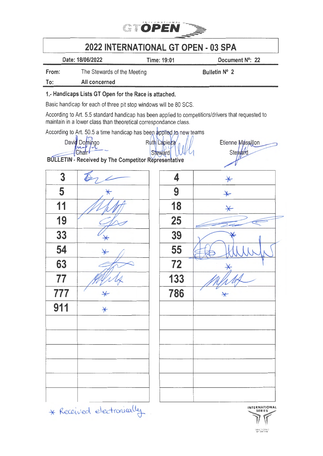

## 2022 INTERNATIONAL GT OPEN • 03 SPA

Date: 18/06/2022 Time: 19:01 Document N°: 22

Etienne Massillon Steward

From: The Stewards of the Meeting The Stewards of the Meeting Bulletin N° 2

To: All concerned

## 1.· Handicaps Lists GT Open for the Race is attached.

Basic handicap for each of three pit stop windows will be 80 SGS.

According to Art. 5.5 standard handicap has been applied to competitiors/drivers that requested to maintain in a lower class than theoretical correspondance class.

According to Art. 50.5 a time handicap has been applied to new teams

David Domingo<br>Chair

**BULLETIN - Received by The Competitor Repres** 

| $\overline{3}$ |                   | 4   | $\ast$  |
|----------------|-------------------|-----|---------|
| 5              | $\ast$            | 9   | $\star$ |
| 11             |                   | 18  | $\star$ |
| 19             |                   | 25  |         |
| 33             |                   | 39  |         |
| 54             | $\star$           | 55  |         |
| 63             |                   | 72  |         |
| 77             |                   | 133 |         |
| 777            | $\ast$            | 786 | $\star$ |
| 911            | $\overline{\ast}$ |     |         |
|                |                   |     |         |
|                |                   |     |         |
|                |                   |     |         |
|                |                   |     |         |
|                |                   |     |         |
|                |                   |     |         |
|                |                   |     |         |

| sentative       | $\mu$   |
|-----------------|---------|
| 4               | $\ast$  |
| $\overline{9}$  | $\star$ |
| $\overline{18}$ | $\star$ |
| 25              |         |
| 39              |         |
| 55              |         |
| 72              |         |
| 133             |         |
| 786             | $\star$ |
|                 |         |
|                 |         |
|                 |         |
|                 |         |
|                 |         |
|                 |         |
|                 |         |
|                 |         |

\* Received electronically

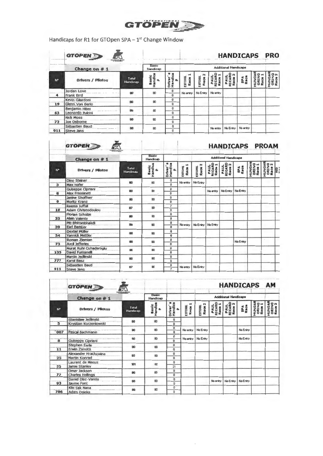

Handicaps for R1 for GTOpen SPA - 1<sup>st</sup> Change Window

|                | <b>GTOPEN</b><br>$\mathbf{r}$<br>Change on $# 1$ | <b>Basic</b><br>Handicap |                                     |                                   |             |                 | <b>HANDICAPS PRO</b><br><b>Additional Handicaps</b> |                       |             |             |                      |
|----------------|--------------------------------------------------|--------------------------|-------------------------------------|-----------------------------------|-------------|-----------------|-----------------------------------------------------|-----------------------|-------------|-------------|----------------------|
| N <sup>*</sup> | <b>Drivers / Pilotos</b>                         | Total<br>Handicap        | <b>Basic</b><br>Handles<br>$\alpha$ | Driver<br>Handicı<br>$\mathbf{a}$ | ESTORA<br>ă | ESTORIL<br>Race | <b>PAUL<br/>RICARE</b><br>Race 1                    | PAUL<br>RICARD<br>Rac | SPA<br>Race | <b>HUNG</b> | HING<br>ORIN<br>Race |
|                | Jordan Love<br>Frank Bird                        | 80                       | 80                                  | 0<br>Û                            | No entry    | No Entry        | No entry                                            |                       |             |             |                      |
| 19             | Kevin Gilardoni<br>Glenn Van Berlo               | B <sub>0</sub>           | 80                                  | $\bf{0}$<br>$\Omega$              |             |                 |                                                     |                       |             |             |                      |
| 63             | Benjamin Hites<br>Leonardo Pulcini               | 60                       | 80                                  | 0<br>$\bf{0}$                     |             |                 |                                                     |                       |             |             |                      |
| 72             | <b>Nick Moss</b><br>Joe Osborne                  | BO <sub>1</sub>          | 80                                  | $\mathbf{0}$<br>û                 |             |                 |                                                     |                       |             |             |                      |
| 911            | Sébastien Baud<br><b>Steve Jans</b>              | 80                       | 80                                  | Û<br>$\mathbf{0}$                 |             |                 | No entry                                            | No Entry              | No emby     |             |                      |

|              | GTOPEN                                             |                   |                       |                               |                              |                            |                          |                                |             |                           | <b>HANDICAPS PROAM</b>            |  |
|--------------|----------------------------------------------------|-------------------|-----------------------|-------------------------------|------------------------------|----------------------------|--------------------------|--------------------------------|-------------|---------------------------|-----------------------------------|--|
|              | Change on $# 1$                                    |                   | Basic<br>Handicao     |                               |                              |                            |                          | <b>Additional Handicape</b>    |             |                           |                                   |  |
| $N^*$        | Drivers / Pilotos                                  | Total<br>Handicap | Basic<br>Handica<br>P | Driver's<br>Handica<br>$\sim$ | Race <sub>1</sub><br>ESTORIL | $\sim$<br>ESTORIA<br>Race: | PAUL<br>RICARD<br>Race 1 | PAUL<br>RICARD<br>Race 2       | SPA<br>Raca | HUNGAR<br>ORING<br>Race 1 | HUNGAR<br>ORING<br>Race 2<br>Ring |  |
|              | Dino Steiner                                       | 80                | 80                    | Ü                             | No entru                     | No Entry                   |                          |                                |             |                           |                                   |  |
| $\mathbf{3}$ | <b>Max Hofer</b>                                   |                   |                       | B                             |                              |                            |                          |                                |             |                           |                                   |  |
| ß            | <b>Gutseppe Cipriani</b><br><b>Alex Frassineti</b> | 60                | 80                    | 0<br>0                        |                              |                            |                          | No entry   No Entry   No Entry |             |                           |                                   |  |
| $\bullet$    | Janine Shoffner<br>Moritz Kranz                    | 80                | 80                    | $\mathbf 0$<br>Ø              |                              |                            |                          |                                |             |                           |                                   |  |
| 18           | Reema Juffali<br>Adam Christodoulou                | 87                | 80                    | 7<br>$\bf{0}$                 |                              |                            |                          |                                |             |                           |                                   |  |
| 33           | <b>Florian Scholze</b><br><b>Alain Valente</b>     | 80                | 80                    | $\bf{0}$<br>o                 |                              |                            |                          |                                |             |                           |                                   |  |
| 39           | Piti Bhirombhakdi<br><b>Earl Bamber</b>            | 80                | 80                    | 0<br>$\overline{0}$           | No entru                     |                            | No Entry No Entry        |                                |             |                           |                                   |  |
| 54           | <b>Dexter Müller</b><br><b>Yannick Mettler</b>     | 80                | BO <sub>1</sub>       | $\bf{0}$<br>O                 |                              |                            |                          |                                |             |                           |                                   |  |
| 73           | Roman Ziemian<br><b>Axcil Jefferies</b>            | 60                | 80                    | O<br>$\mathbf{0}$             |                              |                            |                          |                                | No Entry    |                           |                                   |  |
| 133          | Murat Ruhl Cuhadaroglu<br>David Furnanelli         | 80                | 80                    | $\mathbf{0}$<br>$\bf{0}$      |                              |                            |                          |                                |             |                           |                                   |  |
| 777          | Marcin Jedlinski<br>Karol Basz                     | 80                | 80                    | a<br>0                        |                              |                            |                          |                                |             |                           |                                   |  |
| 911          | Sébastien Baud<br><b>Steve Jans</b>                | 87                | 80                    | 0<br>$\overline{\mathbf{z}}$  |                              | No entry   No Entry        |                          |                                |             |                           |                                   |  |

|                | <b>GTOPEN</b>                                       | 贮                        |                              |                                |                 |                              |                          |                             | <b>HANDICAPS AM</b> |                           |                                  |
|----------------|-----------------------------------------------------|--------------------------|------------------------------|--------------------------------|-----------------|------------------------------|--------------------------|-----------------------------|---------------------|---------------------------|----------------------------------|
|                | Change on # 1                                       | <b>Tiberales</b>         | <b>Basic</b><br>Handicap     |                                |                 |                              |                          | <b>Additional Handicape</b> |                     |                           |                                  |
| N <sup>2</sup> | Drivers / Pilotos                                   | <b>Total</b><br>Handicap | Basic<br>Handica<br>$\alpha$ | Driver's<br>Handica            | ESTORIL<br>Race | N<br><b>ESTORIL</b><br>Race: | PAUL<br>RICARD<br>Raca 1 | PAUL<br>RICARD<br>Reca 2    | <b>SPA</b><br>Race  | HUNGAI<br>ORING<br>Race 1 | <b>HUNOAR</b><br>ORING<br>Race 2 |
| $\mathbf{5}$   | <b>Stanislaw Jedlinsid</b><br>Krystian Korzenłowski | 80                       | 60                           | û<br>$\mathbf{D}$              |                 |                              |                          |                             |                     |                           |                                  |
| 007            | Pascal Bachmann                                     | 80                       | 80                           | $\pmb{\theta}$<br>$\mathbf{0}$ | No entry        | No Entry                     |                          |                             | No Entry            |                           |                                  |
| $\mathbf{a}$   | Guiseppe Cipriani                                   | 80                       | 80                           | 0<br>Ü.                        | No entru        | No Entry                     |                          |                             | <b>No Entro</b>     |                           |                                  |
| 11             | <b>Stephen Earle</b><br>Erwin Zanotti               | 80                       | 80                           | $\bf{0}$<br>$\mathbf{a}$       |                 |                              |                          |                             |                     |                           |                                  |
| 25             | Alexander Hrachowina<br>Martin Konrad               | 80                       | 80 <sup>°</sup>              | o<br>$\Omega$                  |                 |                              |                          |                             |                     |                           |                                  |
| 55             | Laurent de Meeus<br>Jamie Stanley                   | 101                      | 80                           | $\Omega$<br>21                 |                 |                              |                          |                             |                     |                           |                                  |
| 77             | Omar Jackson<br>Charles Hollings                    | 00                       | 80                           | 0<br>$\mathbf{0}$              |                 |                              |                          |                             |                     |                           |                                  |
| 93             | Daniel Dlaz-Varela<br>Jaume Font                    | 88                       | 80                           | 0<br>$\Omega$                  |                 |                              | No entru                 | No Entry                    | No Entry            |                           |                                  |
| 786            | Kild Sak Nana<br>Adam Osieka                        | 80                       | B <sub>0</sub>               | 0<br>û                         |                 |                              |                          |                             |                     |                           |                                  |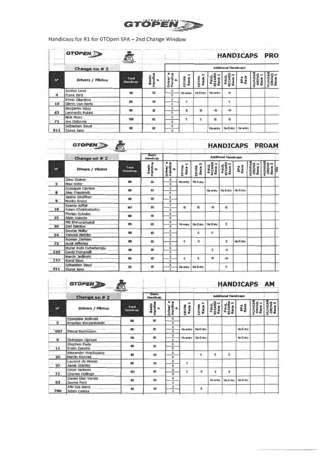

Handicaps for R1 for GTOpen SPA - 2nd Change Window

| <b>SALLAN</b>  | <b>GTOPEN</b>                      |                   |                              |                               |                |                        | <b>HANDICAPS</b>         |                             |             | <b>PRO</b>    |            |
|----------------|------------------------------------|-------------------|------------------------------|-------------------------------|----------------|------------------------|--------------------------|-----------------------------|-------------|---------------|------------|
|                | Change on $# 2$                    | $\sqrt{2}$        |                              |                               |                |                        |                          | <b>Additional Handicaps</b> |             |               |            |
| N <sup>*</sup> | Drivers / Pilotos                  | Total<br>Handreap | Basic<br>Handler<br>$\alpha$ | Drivar<br>Handica<br>$\Delta$ | <b>ESTORIL</b> | <b>ESTORIL</b><br>Race | PAUL<br>RICARD<br>Race 1 | PAUL<br>RICARD<br>Race 2    | SPA<br>Raca | ORINO<br>PAUL | <b>AND</b> |
| 4              | Jordan Love<br>Frank Bird          | 90                | 80                           | 0<br>0                        | No entry       | No Entry               | No entry                 | 10                          |             |               |            |
| 19             | Kevin Gilardoni<br>Glenn Van Berlo | 85                | 80                           | 0<br>O                        | 0              |                        |                          | 5                           |             |               |            |
| 63             | Benjamin Hites<br>Leonardo Pulcini | 80                | 80                           | 0<br>Ð                        | 10             | $\mathbf{u}$           | $-10$                    | $-10$                       |             |               |            |
| 72             | <b>Nick MOSS</b><br>Joe Osborne    | 100               | 80                           | o<br>O                        | 5              | 5                      | 10                       | n                           |             |               |            |
| 911            | Sébastien Baud<br>Steve Jans       | 80                | 80                           | O<br>û                        |                |                        | No entry                 | No Entry                    | No entry    |               |            |

|              | GTOPEN                                    | <b>Hardwood Substitute</b> |                              |                                      |                        |                               |                             |                          |             |                           | <b>HANDICAPS PROAM</b>    |     |  |  |  |
|--------------|-------------------------------------------|----------------------------|------------------------------|--------------------------------------|------------------------|-------------------------------|-----------------------------|--------------------------|-------------|---------------------------|---------------------------|-----|--|--|--|
|              | Change on $#2$                            |                            | <b>Basic</b><br>Handicao     |                                      |                        |                               | <b>Additional Handicaps</b> |                          |             |                           |                           |     |  |  |  |
| N*           | Drivers / Pilotos                         | Total<br>Handican          | Basic<br>Handica<br>$\Delta$ | Driver <sup>'</sup><br>$\Omega$      | <b>ESTORIL</b><br>Race | ิต<br><b>ESTORIL</b><br>Race: | PAUL<br>RICARD<br>Race 1    | PAUL<br>RICARD<br>Race 2 | SPA<br>Race | HUNGAR<br>ORING<br>Race 1 | HUNGAR<br>ORING<br>Race 2 | RED |  |  |  |
| 3            | <b>Dino Steiner</b><br><b>Max Hofer</b>   | 80                         | 80                           | G<br>ø                               | No entru               | No Entry                      |                             |                          |             |                           |                           |     |  |  |  |
| 8            | Guiseppe Cipriani<br>Alex Frassineti      | 90                         | 80                           | $\pmb{0}$<br>$\mathbf{r}$            |                        |                               | No entru                    | No Entry                 | No Entry    |                           |                           |     |  |  |  |
| $\mathbf{9}$ | Janine Shoffner<br>Moritz Kranz           | 80                         | 80                           | Û<br>0                               |                        |                               |                             |                          |             |                           |                           |     |  |  |  |
| 18           | Reema Juffall<br>Adam Christodoulou       | 107                        | 80                           | $\overline{\mathcal{E}}$<br>$\Omega$ | 10                     | $\mathbf{n}$                  | $-10$                       | $\mathbf{u}$             |             |                           |                           |     |  |  |  |
| 33           | Florian Scholze<br><b>Alatn Valente</b>   | 80                         | 80                           | $\mathbf{0}$<br>$\mathbf{D}$         |                        |                               |                             |                          |             |                           |                           |     |  |  |  |
| 39           | PIU Bhirombhakdi<br><b>Earl Bamber</b>    | 85                         | 80                           | 0<br>$\mathbf{a}$                    | No entry               | No Entry                      | No Entry                    | 5                        |             |                           |                           |     |  |  |  |
| 54           | <b>Dexter Müller</b><br>Yannick Mettler   | 80                         | 80                           | $\bf{0}$<br>$\mathbf{D}$             |                        | $\bf{0}$                      | $\bf{0}$                    |                          |             |                           |                           |     |  |  |  |
| 73           | Roman Zlemian<br><b>Axcil Jefferies</b>   | 60                         | 80                           | 0<br>$\mathbf{0}$                    | 5                      | 名                             |                             | $\bf{0}$                 | No Entry    |                           |                           |     |  |  |  |
| 133          | Murat Ruhl Cuhadaroglu<br>David Furnanell | 90                         | 80                           | $\mathbf{0}$<br>$\mathbf{0}$         |                        |                               | 5                           | $\mathfrak{s}$           |             |                           |                           |     |  |  |  |
| 777          | Marcin Jedanski<br><b>Karol Basz</b>      | 85                         | 80                           | $\mathbf{0}$<br>$\bf{0}$             | ۵                      | 5                             | 10                          | $-10$                    |             |                           |                           |     |  |  |  |
| 911          | Sébastien Baud<br><b>Steve Jans</b>       | \$2                        | 80                           | $\bf{0}$<br>$\overline{\mathbf{z}}$  | No entry               | No Entry                      |                             | 5                        |             |                           |                           |     |  |  |  |

|       | <b>GTOPEN</b>                                | r (<br><b>And Parameter Show</b> |                              |                                  |                        |                                 |                          |                             | <b>HANDICAPS AM</b> |                           |                           |
|-------|----------------------------------------------|----------------------------------|------------------------------|----------------------------------|------------------------|---------------------------------|--------------------------|-----------------------------|---------------------|---------------------------|---------------------------|
|       | Change on $# 2$                              |                                  | <b>Basic</b><br>Handicap     |                                  |                        |                                 |                          | <b>Additional Handicaps</b> |                     |                           |                           |
| $N^*$ | Drivers / Pilotos                            | Total<br>Handitap                | Basic<br>Handica<br>$\alpha$ | Driver <sup>'</sup> s<br>Handica | <b>ESTORM</b><br>Race: | $\sim$<br><b>ESTORK</b><br>Race | PAUL<br>RICARD<br>Race 1 | PAUL<br>RICARD<br>Race 2    | SPA<br>Raca         | HUNGAR<br>ORING<br>Race 1 | HUNGAR<br>ORING<br>Race 2 |
| 5     | Stanislaw Jedlinski<br>Krystian Korzeniowski | 80                               | 60                           | $\bf{0}$<br>û                    |                        |                                 |                          |                             |                     |                           |                           |
| 007   | Pascal Bachmann                              | 80                               | 80                           | $\bf{0}$<br>$\bf{0}$             | No entry               | No Entry                        |                          |                             | No Entry            |                           |                           |
| 8     | Guiseppe Cipriani                            | <b>BO</b>                        | 80                           | $\pmb{0}$<br>Û                   | No antry               | No Entry                        |                          |                             | No Entru            |                           |                           |
| 11    | Stephen Earle<br>Erwin Zanotti               | 80                               | 80                           | 0<br>$\mathbf{0}$                |                        |                                 |                          |                             |                     |                           |                           |
| 25    | Alexander Hrachowina<br>Martin Konrad        | 90                               | 80                           | 0<br>$\mathbf{0}$                |                        | 5                               | 5                        | 5                           |                     |                           |                           |
| 55    | Laurent de Meeus<br>Jamie Stanley            | 80                               | 80                           | $\mathbf{0}$<br>$\mathbf{0}$     | $\bf{0}$               |                                 |                          |                             |                     |                           |                           |
| 77    | Omar Jackson<br><b>Charles Hollings</b>      | 101                              | 80                           | 0<br>21                          | 5                      | 巧                               | $\bf{0}$                 | $\mathbf{0}$                |                     |                           |                           |
| 93    | Daniel Díaz-Varela<br>Jaume Font             | <b>BO</b>                        | 80                           | $\mathbf{0}$<br>₫                |                        |                                 | No entry                 | No Entry                    | No Entry            |                           |                           |
| 786   | Kiki Sak Nana<br>Adam Osleka                 | 80                               | 80                           | Đ<br>O                           |                        | $\bf{0}$                        |                          |                             |                     |                           |                           |